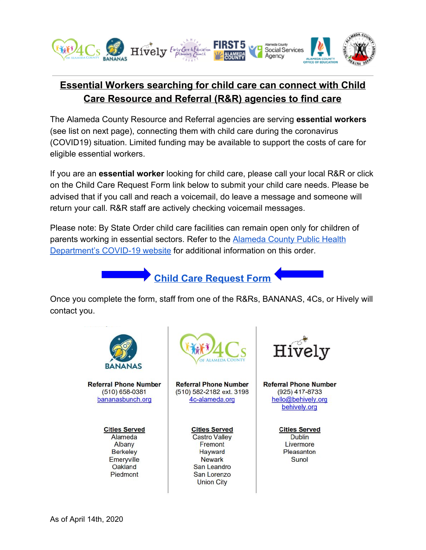

## **Essential Workers searching for child care can connect with Child Care Resource and Referral (R&R) agencies to find care**

The Alameda County Resource and Referral agencies are serving **essential workers** (see list on next page), connecting them with child care during the coronavirus (COVID19) situation. Limited funding may be available to support the costs of care for eligible essential workers.

If you are an **essential worker** looking for child care, please call your local R&R or click on the Child Care Request Form link below to submit your child care needs. Please be advised that if you call and reach a voicemail, do leave a message and someone will return your call. R&R staff are actively checking voicemail messages.

Please note: By State Order child care facilities can remain open only for children of parents working in essential sectors. Refer to the [Alameda County Public Health](http://www.acphd.org/) [Department's COVID-19 website](http://www.acphd.org/) for additional information on this order.

**Child Care [Request](https://forms.gle/mpV1CKhCnUATbNjg8) Form**

Once you complete the form, staff from one of the R&Rs, BANANAS, 4Cs, or Hively will contact you.